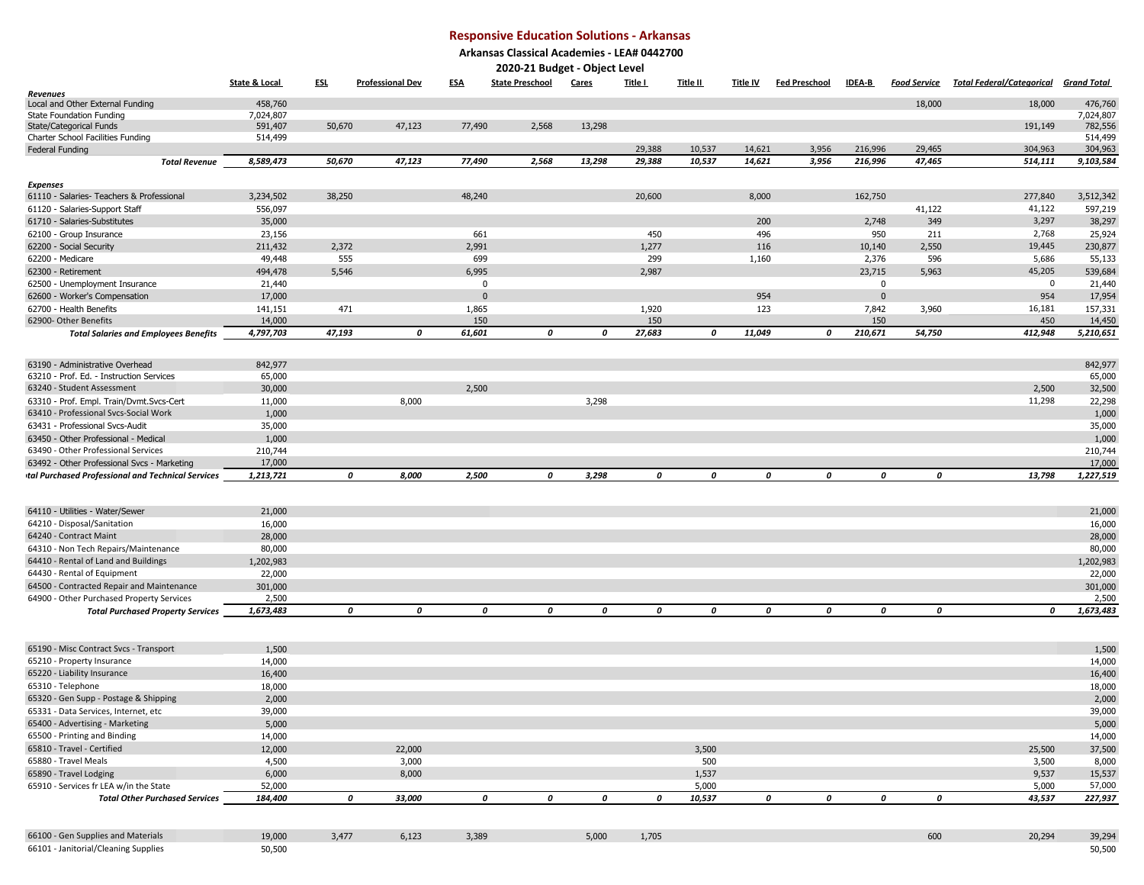## **Responsive Education Solutions - Arkansas**

**Arkansas Classical Academies - LEA# 0442700**

| 2020-21 Budget - Object Level                              |                          |            |                         |                |                        |        |              |                 |                 |                      |               |                     |                                              |                      |
|------------------------------------------------------------|--------------------------|------------|-------------------------|----------------|------------------------|--------|--------------|-----------------|-----------------|----------------------|---------------|---------------------|----------------------------------------------|----------------------|
|                                                            | <b>State &amp; Local</b> | <u>ESL</u> | <b>Professional Dev</b> | <b>ESA</b>     | <b>State Preschool</b> | Cares  | Title I      | <u>Title II</u> | <u>Title IV</u> | <b>Fed Preschool</b> | <b>IDEA-B</b> | <u>Food Service</u> | <u>Total Federal/Categorical Grand Total</u> |                      |
| Revenues                                                   |                          |            |                         |                |                        |        |              |                 |                 |                      |               |                     |                                              |                      |
| Local and Other External Funding                           | 458,760                  |            |                         |                |                        |        |              |                 |                 |                      |               | 18,000              | 18,000                                       | 476,760              |
| <b>State Foundation Funding</b><br>State/Categorical Funds | 7,024,807<br>591,407     | 50,670     | 47,123                  | 77,490         | 2,568                  | 13,298 |              |                 |                 |                      |               |                     | 191,149                                      | 7,024,807<br>782,556 |
| Charter School Facilities Funding                          | 514,499                  |            |                         |                |                        |        |              |                 |                 |                      |               |                     |                                              | 514,499              |
| Federal Funding                                            |                          |            |                         |                |                        |        | 29,388       | 10,537          | 14,621          | 3,956                | 216,996       | 29,465              | 304,963                                      | 304,963              |
| Total Revenue                                              | 8,589,473                | 50,670     | 47,123                  | 77,490         | 2,568                  | 13,298 | 29,388       | 10,537          | 14,621          | 3,956                | 216,996       | 47,465              | 514,111                                      | 9,103,584            |
|                                                            |                          |            |                         |                |                        |        |              |                 |                 |                      |               |                     |                                              |                      |
| <b>Expenses</b>                                            |                          |            |                         |                |                        |        |              |                 |                 |                      |               |                     |                                              |                      |
| 61110 - Salaries- Teachers & Professional                  | 3,234,502                | 38,250     |                         | 48,240         |                        |        | 20,600       |                 | 8,000           |                      | 162,750       |                     | 277,840                                      | 3,512,342            |
| 61120 - Salaries-Support Staff                             | 556,097                  |            |                         |                |                        |        |              |                 |                 |                      |               | 41,122              | 41,122                                       | 597,219              |
| 61710 - Salaries-Substitutes                               | 35,000                   |            |                         |                |                        |        |              |                 | 200             |                      | 2,748         | 349                 | 3,297<br>2,768                               | 38,297               |
| 62100 - Group Insurance<br>62200 - Social Security         | 23,156<br>211,432        | 2,372      |                         | 661<br>2,991   |                        |        | 450<br>1,277 |                 | 496<br>116      |                      | 950<br>10,140 | 211<br>2,550        | 19,445                                       | 25,924<br>230,877    |
| 62200 - Medicare                                           | 49,448                   | 555        |                         | 699            |                        |        | 299          |                 | 1,160           |                      | 2,376         | 596                 | 5,686                                        | 55,133               |
| 62300 - Retirement                                         | 494,478                  | 5,546      |                         | 6,995          |                        |        | 2,987        |                 |                 |                      | 23,715        | 5,963               | 45,205                                       | 539,684              |
| 62500 - Unemployment Insurance                             | 21,440                   |            |                         | $\mathbf{0}$   |                        |        |              |                 |                 |                      | $\mathbf 0$   |                     | 0                                            | 21,440               |
| 62600 - Worker's Compensation                              | 17,000                   |            |                         | $\overline{0}$ |                        |        |              |                 | 954             |                      | $\mathbf 0$   |                     | 954                                          | 17,954               |
| 62700 - Health Benefits                                    | 141,151                  | 471        |                         | 1,865          |                        |        | 1,920        |                 | 123             |                      | 7,842         | 3,960               | 16,181                                       | 157,331              |
| 62900- Other Benefits                                      | 14,000                   |            |                         | 150            |                        |        | 150          |                 |                 |                      | 150           |                     | 450                                          | 14,450               |
| <b>Total Salaries and Employees Benefits</b>               | 4,797,703                | 47,193     | 0                       | 61,601         | 0                      | 0      | 27,683       | 0               | 11,049          | 0                    | 210,671       | 54,750              | 412,948                                      | 5,210,651            |
|                                                            |                          |            |                         |                |                        |        |              |                 |                 |                      |               |                     |                                              |                      |
| 63190 - Administrative Overhead                            | 842,977                  |            |                         |                |                        |        |              |                 |                 |                      |               |                     |                                              | 842,977              |
| 63210 - Prof. Ed. - Instruction Services                   | 65,000                   |            |                         |                |                        |        |              |                 |                 |                      |               |                     |                                              | 65,000               |
| 63240 - Student Assessment                                 | 30,000                   |            |                         | 2,500          |                        |        |              |                 |                 |                      |               |                     | 2,500                                        | 32,500               |
| 63310 - Prof. Empl. Train/Dvmt.Svcs-Cert                   | 11,000                   |            | 8,000                   |                |                        | 3,298  |              |                 |                 |                      |               |                     | 11,298                                       | 22,298               |
| 63410 - Professional Svcs-Social Work                      | 1,000                    |            |                         |                |                        |        |              |                 |                 |                      |               |                     |                                              | 1,000                |
| 63431 - Professional Svcs-Audit                            | 35,000                   |            |                         |                |                        |        |              |                 |                 |                      |               |                     |                                              | 35,000               |
| 63450 - Other Professional - Medical                       | 1,000                    |            |                         |                |                        |        |              |                 |                 |                      |               |                     |                                              | 1,000                |
| 63490 - Other Professional Services                        | 210,744                  |            |                         |                |                        |        |              |                 |                 |                      |               |                     |                                              | 210,744              |
| 63492 - Other Professional Svcs - Marketing                | 17,000                   |            |                         |                |                        |        |              |                 |                 |                      |               |                     |                                              | 17,000               |
| tal Purchased Professional and Technical Services          | 1,213,721                |            | 0<br>8,000              | 2,500          | 0                      | 3,298  | 0            | 0               |                 | 0<br>0               | 0             | 0                   | 13,798                                       | 1,227,519            |
|                                                            |                          |            |                         |                |                        |        |              |                 |                 |                      |               |                     |                                              |                      |
| 64110 - Utilities - Water/Sewer                            | 21,000                   |            |                         |                |                        |        |              |                 |                 |                      |               |                     |                                              | 21,000               |
| 64210 - Disposal/Sanitation                                | 16,000                   |            |                         |                |                        |        |              |                 |                 |                      |               |                     |                                              | 16,000               |
| 64240 - Contract Maint                                     | 28,000                   |            |                         |                |                        |        |              |                 |                 |                      |               |                     |                                              | 28,000               |
| 64310 - Non Tech Repairs/Maintenance                       | 80,000                   |            |                         |                |                        |        |              |                 |                 |                      |               |                     |                                              | 80,000               |
| 64410 - Rental of Land and Buildings                       | 1,202,983                |            |                         |                |                        |        |              |                 |                 |                      |               |                     |                                              | 1,202,983            |
| 64430 - Rental of Equipment                                | 22,000                   |            |                         |                |                        |        |              |                 |                 |                      |               |                     |                                              | 22,000               |
| 64500 - Contracted Repair and Maintenance                  | 301,000                  |            |                         |                |                        |        |              |                 |                 |                      |               |                     |                                              | 301,000              |
| 64900 - Other Purchased Property Services                  | 2,500                    |            |                         |                |                        |        |              |                 |                 |                      |               |                     |                                              | 2,500                |
| <b>Total Purchased Property Services</b>                   | 1,673,483                |            | 0<br>$\boldsymbol{o}$   | 0              | 0                      | 0      | 0            | 0               |                 | 0<br>0               | 0             | 0                   | 0                                            | 1,673,483            |
|                                                            |                          |            |                         |                |                        |        |              |                 |                 |                      |               |                     |                                              |                      |
|                                                            |                          |            |                         |                |                        |        |              |                 |                 |                      |               |                     |                                              |                      |
| 65190 - Misc Contract Svcs - Transport                     | 1,500                    |            |                         |                |                        |        |              |                 |                 |                      |               |                     |                                              | 1,500                |
| 65210 - Property Insurance                                 | 14,000                   |            |                         |                |                        |        |              |                 |                 |                      |               |                     |                                              | 14,000               |
| 65220 - Liability Insurance<br>65310 - Telephone           | 16,400<br>18,000         |            |                         |                |                        |        |              |                 |                 |                      |               |                     |                                              | 16,400<br>18,000     |
| 65320 - Gen Supp - Postage & Shipping                      | 2,000                    |            |                         |                |                        |        |              |                 |                 |                      |               |                     |                                              | 2,000                |
| 65331 - Data Services, Internet, etc                       | 39,000                   |            |                         |                |                        |        |              |                 |                 |                      |               |                     |                                              | 39,000               |
| 65400 - Advertising - Marketing                            | 5,000                    |            |                         |                |                        |        |              |                 |                 |                      |               |                     |                                              | 5,000                |
| 65500 - Printing and Binding                               | 14,000                   |            |                         |                |                        |        |              |                 |                 |                      |               |                     |                                              | 14,000               |
| 65810 - Travel - Certified                                 | 12,000                   |            | 22,000                  |                |                        |        |              | 3,500           |                 |                      |               |                     | 25,500                                       | 37,500               |
| 65880 - Travel Meals                                       | 4,500                    |            | 3,000                   |                |                        |        |              | 500             |                 |                      |               |                     | 3,500                                        | 8,000                |
| 65890 - Travel Lodging                                     | 6,000                    |            | 8,000                   |                |                        |        |              | 1,537           |                 |                      |               |                     | 9,537                                        | 15,537               |
| 65910 - Services fr LEA w/in the State                     | 52,000                   |            |                         |                |                        |        |              | 5,000           |                 |                      |               |                     | 5,000                                        | 57,000               |
| <b>Total Other Purchased Services</b>                      | 184,400                  |            | 0<br>33,000             | 0              | 0                      | 0      | 0            | 10,537          |                 | 0<br>0               | 0             | 0                   | 43,537                                       | 227,937              |
|                                                            |                          |            |                         |                |                        |        |              |                 |                 |                      |               |                     |                                              |                      |
|                                                            |                          |            |                         |                |                        |        |              |                 |                 |                      |               |                     |                                              |                      |
| 66100 - Gen Supplies and Materials                         | 19,000                   | 3,477      | 6,123                   | 3,389          |                        | 5,000  | 1,705        |                 |                 |                      |               | 600                 | 20,294                                       | 39,294               |
| 66101 - Janitorial/Cleaning Supplies                       | 50,500                   |            |                         |                |                        |        |              |                 |                 |                      |               |                     |                                              | 50,500               |